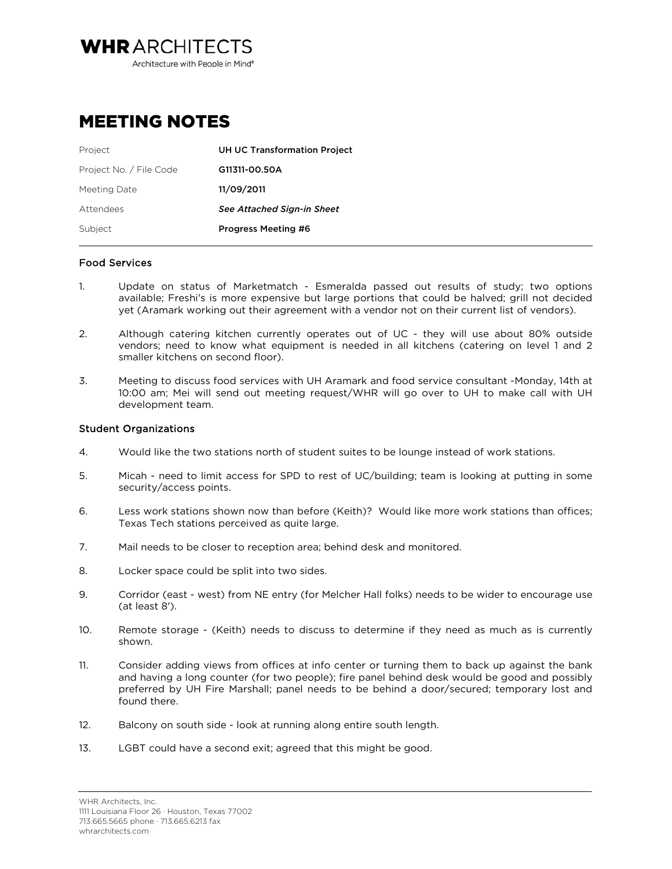Architecture with People in Mind<sup>®</sup>

**WHRARCHITECTS** 

## MEETING NOTES

| Project                 | <b>UH UC Transformation Project</b> |
|-------------------------|-------------------------------------|
| Project No. / File Code | G11311-00.50A                       |
| Meeting Date            | 11/09/2011                          |
| Attendees               | <b>See Attached Sign-in Sheet</b>   |
| Subject                 | <b>Progress Meeting #6</b>          |

## Food Services

- 1. Update on status of Marketmatch Esmeralda passed out results of study; two options available; Freshi's is more expensive but large portions that could be halved; grill not decided yet (Aramark working out their agreement with a vendor not on their current list of vendors).
- 2. Although catering kitchen currently operates out of UC they will use about 80% outside vendors; need to know what equipment is needed in all kitchens (catering on level 1 and 2 smaller kitchens on second floor).
- 3. Meeting to discuss food services with UH Aramark and food service consultant -Monday, 14th at 10:00 am; Mei will send out meeting request/WHR will go over to UH to make call with UH development team.

## Student Organizations

- 4. Would like the two stations north of student suites to be lounge instead of work stations.
- 5. Micah need to limit access for SPD to rest of UC/building; team is looking at putting in some security/access points.
- 6. Less work stations shown now than before (Keith)? Would like more work stations than offices; Texas Tech stations perceived as quite large.
- 7. Mail needs to be closer to reception area; behind desk and monitored.
- 8. Locker space could be split into two sides.
- 9. Corridor (east west) from NE entry (for Melcher Hall folks) needs to be wider to encourage use (at least 8').
- 10. Remote storage (Keith) needs to discuss to determine if they need as much as is currently shown.
- 11. Consider adding views from offices at info center or turning them to back up against the bank and having a long counter (for two people); fire panel behind desk would be good and possibly preferred by UH Fire Marshall; panel needs to be behind a door/secured; temporary lost and found there.
- 12. Balcony on south side look at running along entire south length.
- 13. LGBT could have a second exit; agreed that this might be good.